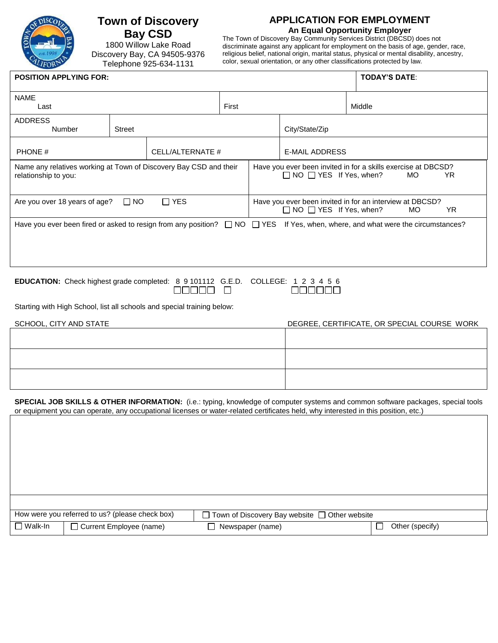

## **Town of Discovery Bay CSD**

1800 Willow Lake Road Discovery Bay, CA 94505-9376 Telephone 925-634-1131

## **APPLICATION FOR EMPLOYMENT**

**An Equal Opportunity Employer**

The Town of Discovery Bay Community Services District (DBCSD) does not discriminate against any applicant for employment on the basis of age, gender, race, religious belief, national origin, marital status, physical or mental disability, ancestry, color, sexual orientation, or any other classifications protected by law.

| <b>POSITION APPLYING FOR:</b>                                                                                                                                                                                                                                          |                  |       |  |  |                                                                                                                          | <b>TODAY'S DATE:</b>                        |  |
|------------------------------------------------------------------------------------------------------------------------------------------------------------------------------------------------------------------------------------------------------------------------|------------------|-------|--|--|--------------------------------------------------------------------------------------------------------------------------|---------------------------------------------|--|
| <b>NAME</b><br>Last                                                                                                                                                                                                                                                    |                  | First |  |  | Middle                                                                                                                   |                                             |  |
| <b>ADDRESS</b><br>Number                                                                                                                                                                                                                                               | Street           |       |  |  | City/State/Zip                                                                                                           |                                             |  |
| PHONE #                                                                                                                                                                                                                                                                | CELL/ALTERNATE # |       |  |  | <b>E-MAIL ADDRESS</b>                                                                                                    |                                             |  |
| Name any relatives working at Town of Discovery Bay CSD and their<br>relationship to you:                                                                                                                                                                              |                  |       |  |  | Have you ever been invited in for a skills exercise at DBCSD?<br>$\Box$ NO $\Box$ YES If Yes, when?<br>MO<br><b>YR</b>   |                                             |  |
| Are you over 18 years of age?<br>$\Box$ NO<br>$\Box$ YES                                                                                                                                                                                                               |                  |       |  |  | Have you ever been invited in for an interview at DBCSD?<br>$\Box$ NO $\Box$ YES If Yes, when?<br><b>YR</b><br><b>MO</b> |                                             |  |
| Have you ever been fired or asked to resign from any position? $\Box$ NO $\Box$ YES If Yes, when, where, and what were the circumstances?                                                                                                                              |                  |       |  |  |                                                                                                                          |                                             |  |
|                                                                                                                                                                                                                                                                        |                  |       |  |  |                                                                                                                          |                                             |  |
| <b>EDUCATION:</b> Check highest grade completed: 8 9 101112 G.E.D. COLLEGE: 1 2 3 4 5 6<br>30000<br>000000<br>$\Box$                                                                                                                                                   |                  |       |  |  |                                                                                                                          |                                             |  |
| Starting with High School, list all schools and special training below:                                                                                                                                                                                                |                  |       |  |  |                                                                                                                          |                                             |  |
| SCHOOL, CITY AND STATE                                                                                                                                                                                                                                                 |                  |       |  |  |                                                                                                                          | DEGREE, CERTIFICATE, OR SPECIAL COURSE WORK |  |
|                                                                                                                                                                                                                                                                        |                  |       |  |  |                                                                                                                          |                                             |  |
|                                                                                                                                                                                                                                                                        |                  |       |  |  |                                                                                                                          |                                             |  |
|                                                                                                                                                                                                                                                                        |                  |       |  |  |                                                                                                                          |                                             |  |
| SPECIAL JOB SKILLS & OTHER INFORMATION: (i.e.: typing, knowledge of computer systems and common software packages, special tools<br>or equipment you can operate, any occupational licenses or water-related certificates held, why interested in this position, etc.) |                  |       |  |  |                                                                                                                          |                                             |  |
|                                                                                                                                                                                                                                                                        |                  |       |  |  |                                                                                                                          |                                             |  |
|                                                                                                                                                                                                                                                                        |                  |       |  |  |                                                                                                                          |                                             |  |
|                                                                                                                                                                                                                                                                        |                  |       |  |  |                                                                                                                          |                                             |  |
|                                                                                                                                                                                                                                                                        |                  |       |  |  |                                                                                                                          |                                             |  |
|                                                                                                                                                                                                                                                                        |                  |       |  |  |                                                                                                                          |                                             |  |
| How were you referred to us? (please check box)<br>Town of Discovery Bay website □<br>Other website                                                                                                                                                                    |                  |       |  |  |                                                                                                                          |                                             |  |
| Other (specify)<br>$\Box$ Walk-In<br>Current Employee (name)<br>Newspaper (name)                                                                                                                                                                                       |                  |       |  |  |                                                                                                                          |                                             |  |